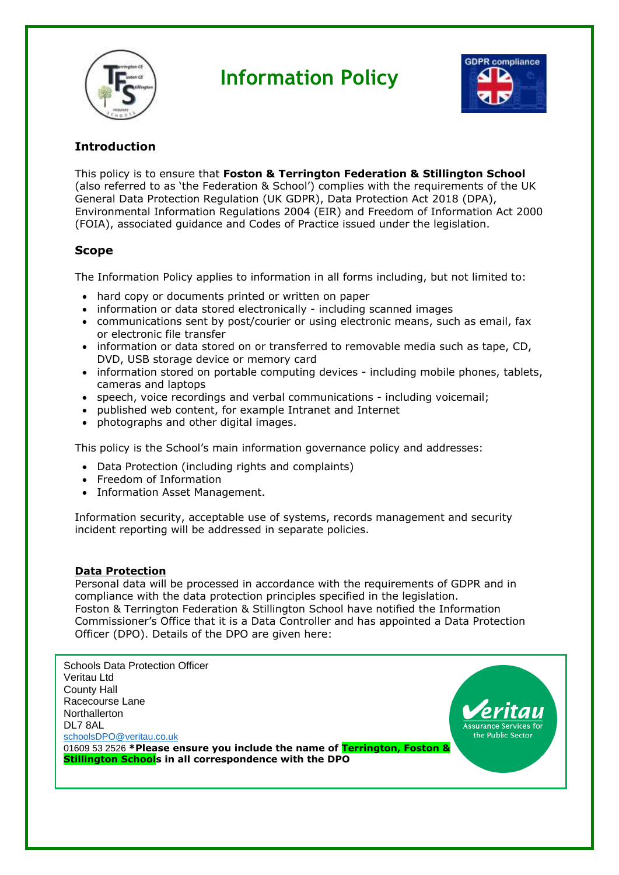

# **Information Policy**



# **Introduction**

This policy is to ensure that **Foston & Terrington Federation & Stillington School** (also referred to as 'the Federation & School') complies with the requirements of the UK General Data Protection Regulation (UK GDPR), Data Protection Act 2018 (DPA), Environmental Information Regulations 2004 (EIR) and Freedom of Information Act 2000 (FOIA), associated guidance and Codes of Practice issued under the legislation.

# **Scope**

The Information Policy applies to information in all forms including, but not limited to:

- hard copy or documents printed or written on paper
- information or data stored electronically including scanned images
- communications sent by post/courier or using electronic means, such as email, fax or electronic file transfer
- information or data stored on or transferred to removable media such as tape, CD, DVD, USB storage device or memory card
- information stored on portable computing devices including mobile phones, tablets, cameras and laptops
- speech, voice recordings and verbal communications including voicemail;
- published web content, for example Intranet and Internet
- photographs and other digital images.

This policy is the School's main information governance policy and addresses:

- Data Protection (including rights and complaints)
- Freedom of Information
- Information Asset Management.

Information security, acceptable use of systems, records management and security incident reporting will be addressed in separate policies.

# **Data Protection**

Personal data will be processed in accordance with the requirements of GDPR and in compliance with the data protection principles specified in the legislation. Foston & Terrington Federation & Stillington School have notified the Information Commissioner's Office that it is a Data Controller and has appointed a Data Protection Officer (DPO). Details of the DPO are given here:

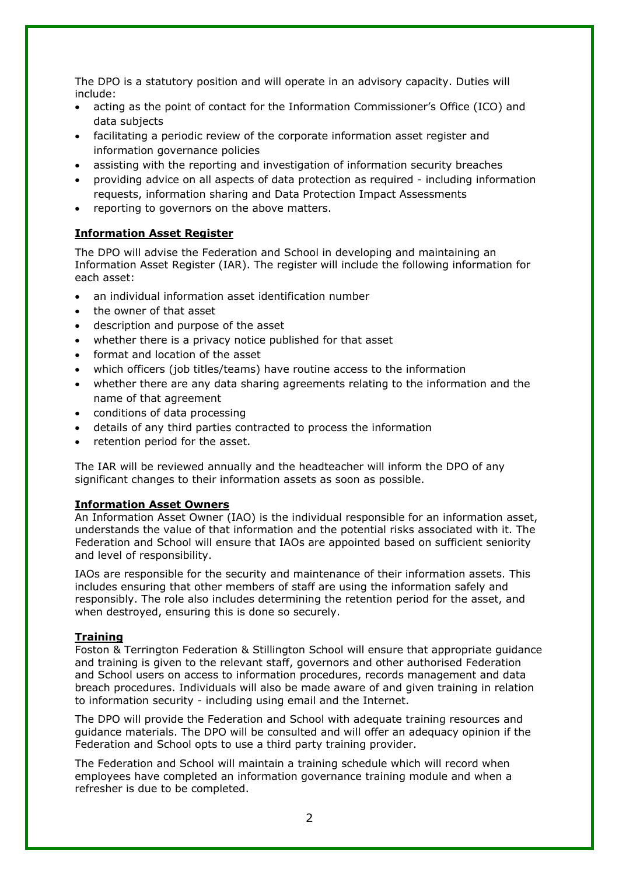The DPO is a statutory position and will operate in an advisory capacity. Duties will include:

- acting as the point of contact for the Information Commissioner's Office (ICO) and data subjects
- facilitating a periodic review of the corporate information asset register and information governance policies
- assisting with the reporting and investigation of information security breaches
- providing advice on all aspects of data protection as required including information requests, information sharing and Data Protection Impact Assessments
- reporting to governors on the above matters.

# **Information Asset Register**

The DPO will advise the Federation and School in developing and maintaining an Information Asset Register (IAR). The register will include the following information for each asset:

- an individual information asset identification number
- the owner of that asset
- description and purpose of the asset
- whether there is a privacy notice published for that asset
- format and location of the asset
- which officers (job titles/teams) have routine access to the information
- whether there are any data sharing agreements relating to the information and the name of that agreement
- conditions of data processing
- details of any third parties contracted to process the information
- retention period for the asset.

The IAR will be reviewed annually and the headteacher will inform the DPO of any significant changes to their information assets as soon as possible.

### **Information Asset Owners**

An Information Asset Owner (IAO) is the individual responsible for an information asset, understands the value of that information and the potential risks associated with it. The Federation and School will ensure that IAOs are appointed based on sufficient seniority and level of responsibility.

IAOs are responsible for the security and maintenance of their information assets. This includes ensuring that other members of staff are using the information safely and responsibly. The role also includes determining the retention period for the asset, and when destroyed, ensuring this is done so securely.

### **Training**

Foston & Terrington Federation & Stillington School will ensure that appropriate guidance and training is given to the relevant staff, governors and other authorised Federation and School users on access to information procedures, records management and data breach procedures. Individuals will also be made aware of and given training in relation to information security - including using email and the Internet.

The DPO will provide the Federation and School with adequate training resources and guidance materials. The DPO will be consulted and will offer an adequacy opinion if the Federation and School opts to use a third party training provider.

The Federation and School will maintain a training schedule which will record when employees have completed an information governance training module and when a refresher is due to be completed.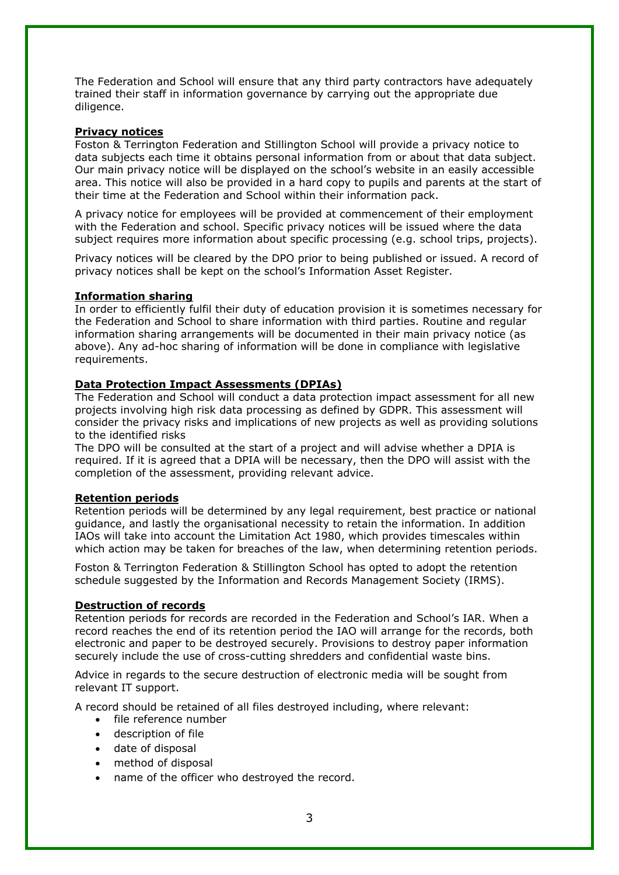The Federation and School will ensure that any third party contractors have adequately trained their staff in information governance by carrying out the appropriate due diligence.

#### **Privacy notices**

Foston & Terrington Federation and Stillington School will provide a privacy notice to data subjects each time it obtains personal information from or about that data subject. Our main privacy notice will be displayed on the school's website in an easily accessible area. This notice will also be provided in a hard copy to pupils and parents at the start of their time at the Federation and School within their information pack.

A privacy notice for employees will be provided at commencement of their employment with the Federation and school. Specific privacy notices will be issued where the data subject requires more information about specific processing (e.g. school trips, projects).

Privacy notices will be cleared by the DPO prior to being published or issued. A record of privacy notices shall be kept on the school's Information Asset Register.

#### **Information sharing**

In order to efficiently fulfil their duty of education provision it is sometimes necessary for the Federation and School to share information with third parties. Routine and regular information sharing arrangements will be documented in their main privacy notice (as above). Any ad-hoc sharing of information will be done in compliance with legislative requirements.

#### **Data Protection Impact Assessments (DPIAs)**

The Federation and School will conduct a data protection impact assessment for all new projects involving high risk data processing as defined by GDPR. This assessment will consider the privacy risks and implications of new projects as well as providing solutions to the identified risks

The DPO will be consulted at the start of a project and will advise whether a DPIA is required. If it is agreed that a DPIA will be necessary, then the DPO will assist with the completion of the assessment, providing relevant advice.

#### **Retention periods**

Retention periods will be determined by any legal requirement, best practice or national guidance, and lastly the organisational necessity to retain the information. In addition IAOs will take into account the Limitation Act 1980, which provides timescales within which action may be taken for breaches of the law, when determining retention periods.

Foston & Terrington Federation & Stillington School has opted to adopt the retention schedule suggested by the Information and Records Management Society (IRMS).

#### **Destruction of records**

Retention periods for records are recorded in the Federation and School's IAR. When a record reaches the end of its retention period the IAO will arrange for the records, both electronic and paper to be destroyed securely. Provisions to destroy paper information securely include the use of cross-cutting shredders and confidential waste bins.

Advice in regards to the secure destruction of electronic media will be sought from relevant IT support.

A record should be retained of all files destroyed including, where relevant:

- file reference number
- description of file
- date of disposal
- method of disposal
- name of the officer who destroyed the record.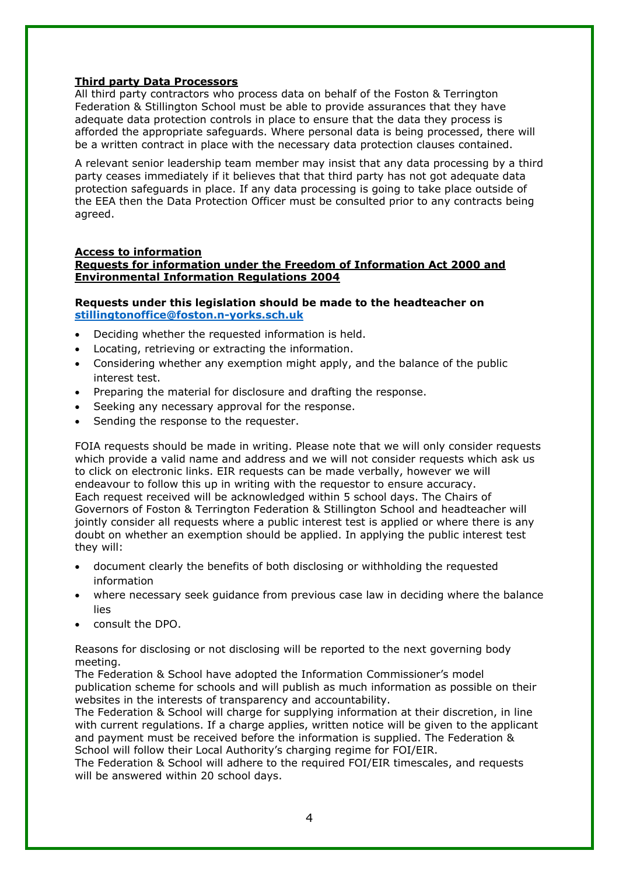# **Third party Data Processors**

All third party contractors who process data on behalf of the Foston & Terrington Federation & Stillington School must be able to provide assurances that they have adequate data protection controls in place to ensure that the data they process is afforded the appropriate safeguards. Where personal data is being processed, there will be a written contract in place with the necessary data protection clauses contained.

A relevant senior leadership team member may insist that any data processing by a third party ceases immediately if it believes that that third party has not got adequate data protection safeguards in place. If any data processing is going to take place outside of the EEA then the Data Protection Officer must be consulted prior to any contracts being agreed.

# **Access to information**

# **Requests for information under the Freedom of Information Act 2000 and Environmental Information Regulations 2004**

## **Requests under this legislation should be made to the headteacher on [stillingtonoffice@foston.n-yorks.sch.uk](mailto:stillingtonoffice@foston.n-yorks.sch.uk)**

- Deciding whether the requested information is held.
- Locating, retrieving or extracting the information.
- Considering whether any exemption might apply, and the balance of the public interest test.
- Preparing the material for disclosure and drafting the response.
- Seeking any necessary approval for the response.
- Sending the response to the requester.

FOIA requests should be made in writing. Please note that we will only consider requests which provide a valid name and address and we will not consider requests which ask us to click on electronic links. EIR requests can be made verbally, however we will endeavour to follow this up in writing with the requestor to ensure accuracy. Each request received will be acknowledged within 5 school days. The Chairs of Governors of Foston & Terrington Federation & Stillington School and headteacher will jointly consider all requests where a public interest test is applied or where there is any doubt on whether an exemption should be applied. In applying the public interest test they will:

- document clearly the benefits of both disclosing or withholding the requested information
- where necessary seek guidance from previous case law in deciding where the balance lies
- consult the DPO.

Reasons for disclosing or not disclosing will be reported to the next governing body meeting.

The Federation & School have adopted the Information Commissioner's model publication scheme for schools and will publish as much information as possible on their websites in the interests of transparency and accountability.

The Federation & School will charge for supplying information at their discretion, in line with current regulations. If a charge applies, written notice will be given to the applicant and payment must be received before the information is supplied. The Federation & School will follow their Local Authority's charging regime for FOI/EIR.

The Federation & School will adhere to the required FOI/EIR timescales, and requests will be answered within 20 school days.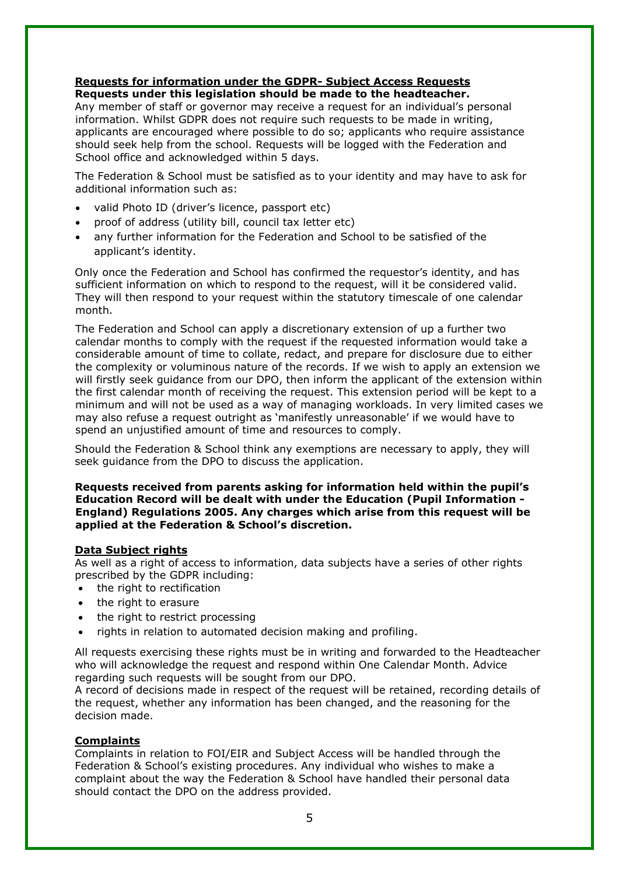#### **Requests for information under the GDPR- Subject Access Requests Requests under this legislation should be made to the headteacher.**

Any member of staff or governor may receive a request for an individual's personal information. Whilst GDPR does not require such requests to be made in writing, applicants are encouraged where possible to do so; applicants who require assistance should seek help from the school. Requests will be logged with the Federation and School office and acknowledged within 5 days.

The Federation & School must be satisfied as to your identity and may have to ask for additional information such as:

- valid Photo ID (driver's licence, passport etc)
- proof of address (utility bill, council tax letter etc)
- any further information for the Federation and School to be satisfied of the applicant's identity.

Only once the Federation and School has confirmed the requestor's identity, and has sufficient information on which to respond to the request, will it be considered valid. They will then respond to your request within the statutory timescale of one calendar month.

The Federation and School can apply a discretionary extension of up a further two calendar months to comply with the request if the requested information would take a considerable amount of time to collate, redact, and prepare for disclosure due to either the complexity or voluminous nature of the records. If we wish to apply an extension we will firstly seek guidance from our DPO, then inform the applicant of the extension within the first calendar month of receiving the request. This extension period will be kept to a minimum and will not be used as a way of managing workloads. In very limited cases we may also refuse a request outright as 'manifestly unreasonable' if we would have to spend an unjustified amount of time and resources to comply.

Should the Federation & School think any exemptions are necessary to apply, they will seek guidance from the DPO to discuss the application.

#### **Requests received from parents asking for information held within the pupil's Education Record will be dealt with under the Education (Pupil Information - England) Regulations 2005. Any charges which arise from this request will be applied at the Federation & School's discretion.**

### **Data Subject rights**

As well as a right of access to information, data subjects have a series of other rights prescribed by the GDPR including:

- the right to rectification
- the right to erasure
- the right to restrict processing
- rights in relation to automated decision making and profiling.

All requests exercising these rights must be in writing and forwarded to the Headteacher who will acknowledge the request and respond within One Calendar Month. Advice regarding such requests will be sought from our DPO.

A record of decisions made in respect of the request will be retained, recording details of the request, whether any information has been changed, and the reasoning for the decision made.

# **Complaints**

Complaints in relation to FOI/EIR and Subject Access will be handled through the Federation & School's existing procedures. Any individual who wishes to make a complaint about the way the Federation & School have handled their personal data should contact the DPO on the address provided.